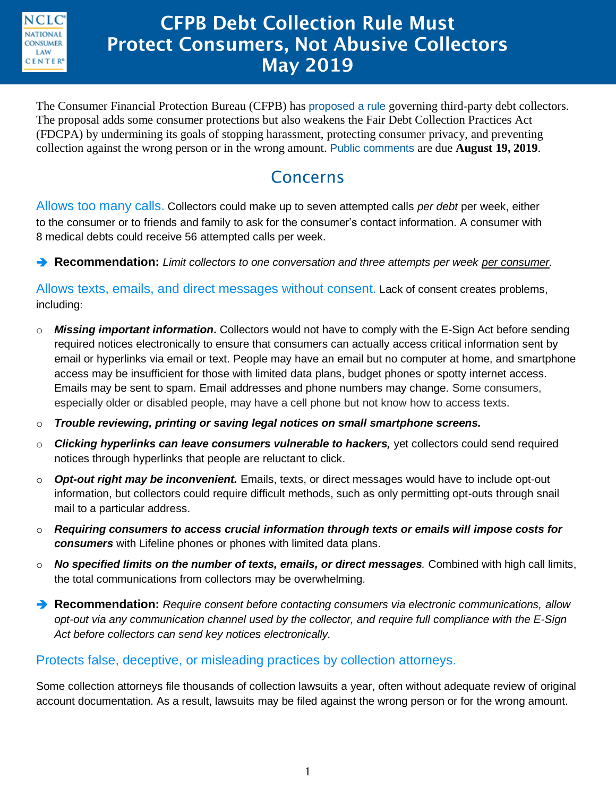

## **CFPB Debt Collection Rule Must Protect Consumers, Not Abusive Collectors May 2019**

The Consumer Financial Protection Bureau (CFPB) has [proposed a rule](https://www.regulations.gov/searchResults?rpp=25&po=0&s=CFPB%E2%80%932019%E2%80%930022&fp=true&ns=true) governing third-party debt collectors. The proposal adds some consumer protections but also weakens the Fair Debt Collection Practices Act (FDCPA) by undermining its goals of stopping harassment, protecting consumer privacy, and preventing collection against the wrong person or in the wrong amount. [Public comments](https://www.regulations.gov/document?D=CFPB-2019-0022-0001) are due **August 19, 2019**.

### Concerns

Allows too many calls. Collectors could make up to seven attempted calls *per debt* per week, either to the consumer or to friends and family to ask for the consumer's contact information. A consumer with 8 medical debts could receive 56 attempted calls per week.

**Recommendation:** *Limit collectors to one conversation and three attempts per week per consumer.*

Allows texts, emails, and direct messages without consent. Lack of consent creates problems, including:

- o *Missing important information***.** Collectors would not have to comply with the E-Sign Act before sending required notices electronically to ensure that consumers can actually access critical information sent by email or hyperlinks via email or text. People may have an email but no computer at home, and smartphone access may be insufficient for those with limited data plans, budget phones or spotty internet access. Emails may be sent to spam. Email addresses and phone numbers may change. Some consumers, especially older or disabled people, may have a cell phone but not know how to access texts.
- o *Trouble reviewing, printing or saving legal notices on small smartphone screens.*
- o *Clicking hyperlinks can leave consumers vulnerable to hackers,* yet collectors could send required notices through hyperlinks that people are reluctant to click.
- o *Opt-out right may be inconvenient.* Emails, texts, or direct messages would have to include opt-out information, but collectors could require difficult methods, such as only permitting opt-outs through snail mail to a particular address.
- o *Requiring consumers to access crucial information through texts or emails will impose costs for consumers* with Lifeline phones or phones with limited data plans.
- o *No specified limits on the number of texts, emails, or direct messages.* Combined with high call limits, the total communications from collectors may be overwhelming.
- **Recommendation:** *Require consent before contacting consumers via electronic communications, allow opt-out via any communication channel used by the collector, and require full compliance with the E-Sign Act before collectors can send key notices electronically.*

### Protects false, deceptive, or misleading practices by collection attorneys.

Some collection attorneys file thousands of collection lawsuits a year, often without adequate review of original account documentation. As a result, lawsuits may be filed against the wrong person or for the wrong amount.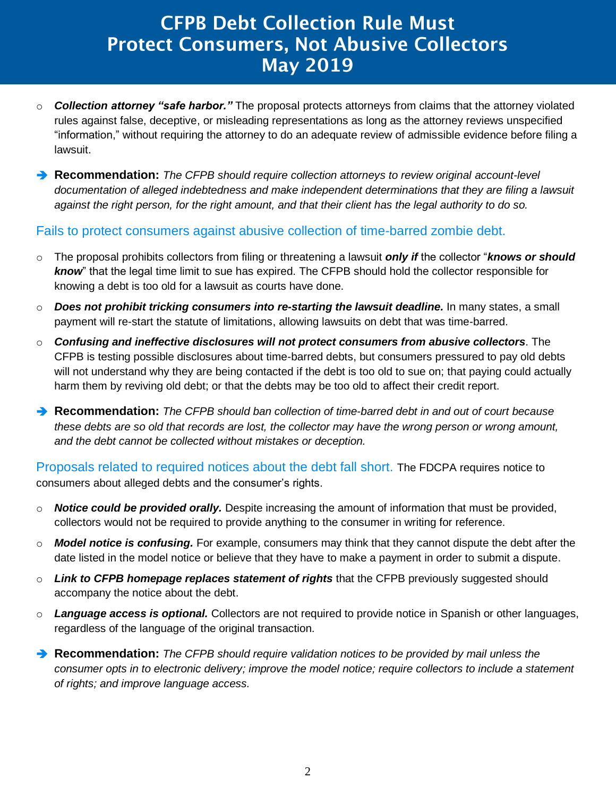# **CFPB Debt Collection Rule Must Protect Consumers, Not Abusive Collectors May 2019**

- o *Collection attorney "safe harbor."* The proposal protects attorneys from claims that the attorney violated rules against false, deceptive, or misleading representations as long as the attorney reviews unspecified "information," without requiring the attorney to do an adequate review of admissible evidence before filing a lawsuit.
- **Recommendation:** *The CFPB should require collection attorneys to review original account-level documentation of alleged indebtedness and make independent determinations that they are filing a lawsuit against the right person, for the right amount, and that their client has the legal authority to do so.*

### Fails to protect consumers against abusive collection of time-barred zombie debt.

- o The proposal prohibits collectors from filing or threatening a lawsuit *only if* the collector "*knows or should know*" that the legal time limit to sue has expired. The CFPB should hold the collector responsible for knowing a debt is too old for a lawsuit as courts have done.
- o *Does not prohibit tricking consumers into re-starting the lawsuit deadline.* In many states, a small payment will re-start the statute of limitations, allowing lawsuits on debt that was time-barred.
- o *Confusing and ineffective disclosures will not protect consumers from abusive collectors*. The CFPB is testing possible disclosures about time-barred debts, but consumers pressured to pay old debts will not understand why they are being contacted if the debt is too old to sue on; that paying could actually harm them by reviving old debt; or that the debts may be too old to affect their credit report.
- **Recommendation:** *The CFPB should ban collection of time-barred debt in and out of court because these debts are so old that records are lost, the collector may have the wrong person or wrong amount, and the debt cannot be collected without mistakes or deception.*

Proposals related to required notices about the debt fall short. The FDCPA requires notice to consumers about alleged debts and the consumer's rights.

- o *Notice could be provided orally.* Despite increasing the amount of information that must be provided, collectors would not be required to provide anything to the consumer in writing for reference.
- o *Model notice is confusing.* For example, consumers may think that they cannot dispute the debt after the date listed in the model notice or believe that they have to make a payment in order to submit a dispute.
- o *Link to CFPB homepage replaces statement of rights* that the CFPB previously suggested should accompany the notice about the debt.
- o *Language access is optional.* Collectors are not required to provide notice in Spanish or other languages, regardless of the language of the original transaction.
- **Recommendation:** *The CFPB should require validation notices to be provided by mail unless the consumer opts in to electronic delivery; improve the model notice; require collectors to include a statement of rights; and improve language access.*